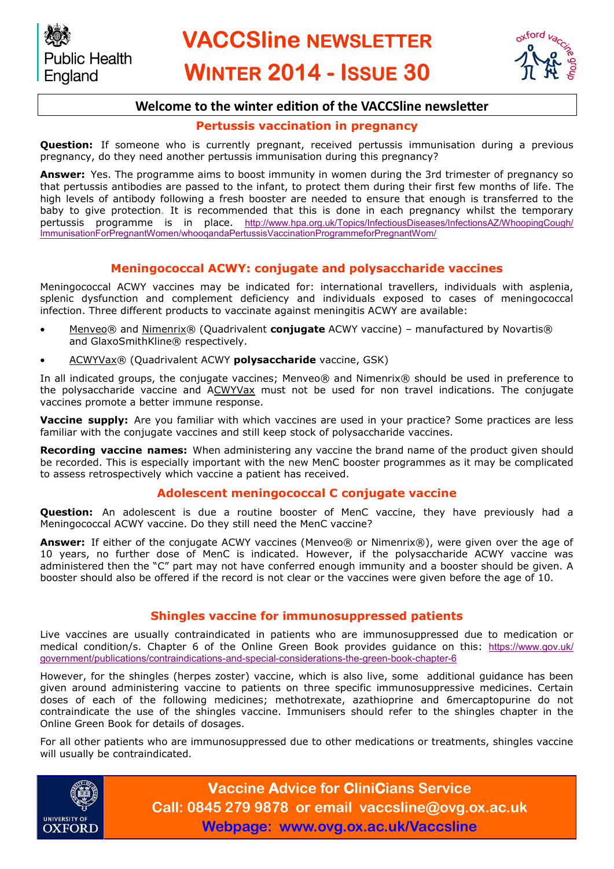

## **Welcome to the winter edition of the VACCSline newsletter**

#### **Pertussis vaccination in pregnancy**

**Question:** If someone who is currently pregnant, received pertussis immunisation during a previous pregnancy, do they need another pertussis immunisation during this pregnancy?

**Answer:** Yes. The programme aims to boost immunity in women during the 3rd trimester of pregnancy so that pertussis antibodies are passed to the infant, to protect them during their first few months of life. The high levels of antibody following a fresh booster are needed to ensure that enough is transferred to the baby to give protection. It is recommended that this is done in each pregnancy whilst the temporary pertussis programme is in place. [http://www.hpa.org.uk/Topics/InfectiousDiseases/InfectionsAZ/WhoopingCough/](http://www.hpa.org.uk/Topics/InfectiousDiseases/InfectionsAZ/WhoopingCough/ImmunisationForPregnantWomen/whooqandaPertussisVaccinationProgrammeforPregnantWom/) [ImmunisationForPregnantWomen/whooqandaPertussisVaccinationProgrammeforPregnantWom/](http://www.hpa.org.uk/Topics/InfectiousDiseases/InfectionsAZ/WhoopingCough/ImmunisationForPregnantWomen/whooqandaPertussisVaccinationProgrammeforPregnantWom/)

## **Meningococcal ACWY: conjugate and polysaccharide vaccines**

Meningococcal ACWY vaccines may be indicated for: international travellers, individuals with asplenia, splenic dysfunction and complement deficiency and individuals exposed to cases of meningococcal infection. Three different products to vaccinate against meningitis ACWY are available:

- Menveo® and Nimenrix® (Quadrivalent **conjugate** ACWY vaccine) manufactured by Novartis® and GlaxoSmithKline® respectively.
- ACWYVax® (Quadrivalent ACWY **polysaccharide** vaccine, GSK)

In all indicated groups, the conjugate vaccines; Menveo® and Nimenrix® should be used in preference to the polysaccharide vaccine and ACWYVax must not be used for non travel indications. The conjugate vaccines promote a better immune response.

Vaccine supply: Are you familiar with which vaccines are used in your practice? Some practices are less familiar with the conjugate vaccines and still keep stock of polysaccharide vaccines.

**Recording vaccine names:** When administering any vaccine the brand name of the product given should be recorded. This is especially important with the new MenC booster programmes as it may be complicated to assess retrospectively which vaccine a patient has received.

#### **Adolescent meningococcal C conjugate vaccine**

**Question:** An adolescent is due a routine booster of MenC vaccine, they have previously had a Meningococcal ACWY vaccine. Do they still need the MenC vaccine?

**Answer:** If either of the conjugate ACWY vaccines (Menveo® or Nimenrix®), were given over the age of 10 years, no further dose of MenC is indicated. However, if the polysaccharide ACWY vaccine was administered then the "C" part may not have conferred enough immunity and a booster should be given. A booster should also be offered if the record is not clear or the vaccines were given before the age of 10.

### **Shingles vaccine for immunosuppressed patients**

Live vaccines are usually contraindicated in patients who are immunosuppressed due to medication or medical condition/s. Chapter 6 of the Online Green Book provides guidance on this: [https://www.gov.uk/](https://www.gov.uk/government/publications/contraindications-and-special-considerations-the-green-book-chapter-6) [government/publications/contraindications](https://www.gov.uk/government/publications/contraindications-and-special-considerations-the-green-book-chapter-6)-and-special-considerations-the-green-book-chapter-6

However, for the shingles (herpes zoster) vaccine, which is also live, some additional guidance has been given around administering vaccine to patients on three specific immunosuppressive medicines. Certain doses of each of the following medicines; methotrexate, azathioprine and 6mercaptopurine do not contraindicate the use of the shingles vaccine. Immunisers should refer to the shingles chapter in the Online Green Book for details of dosages.

For all other patients who are immunosuppressed due to other medications or treatments, shingles vaccine will usually be contraindicated.



**Vaccine Advice for CliniCians Service Call: 0845 279 9878 or email vaccsline@ovg.ox.ac.uk Webpage: www.ovg.ox.ac.uk/Vaccsline**